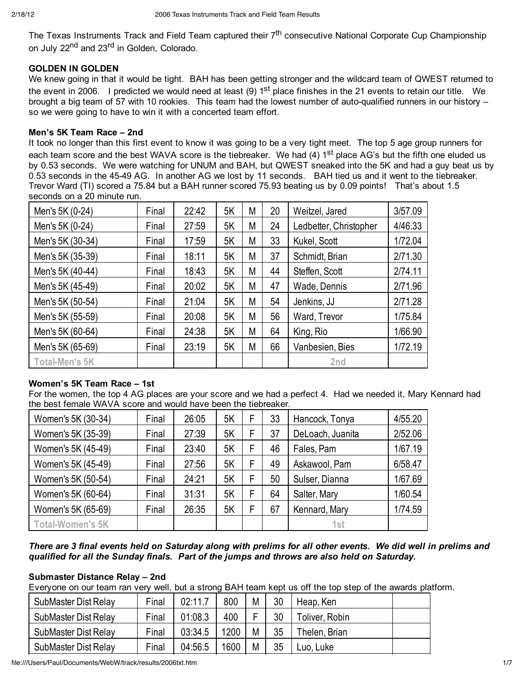The Texas Instruments Track and Field Team captured their 7<sup>th</sup> consecutive National Corporate Cup Championship on July 22<sup>nd</sup> and 23<sup>rd</sup> in Golden, Colorado.

## **GOLDEN IN GOLDEN**

We knew going in that it would be tight. BAH has been getting stronger and the wildcard team of QWEST returned to the event in 2006. I predicted we would need at least (9)  $1<sup>st</sup>$  place finishes in the 21 events to retain our title. We brought a big team of 57 with 10 rookies. This team had the lowest number of auto-qualified runners in our history – so we were going to have to win it with a concerted team effort.

#### **Men's 5K Team Race – 2nd**

It took no longer than this first event to know it was going to be a very tight meet. The top 5 age group runners for each team score and the best WAVA score is the tiebreaker. We had (4) 1<sup>st</sup> place AG's but the fifth one eluded us by 0.53 seconds. We were watching for UNUM and BAH, but QWEST sneaked into the 5K and had a guy beat us by 0.53 seconds in the 45-49 AG. In another AG we lost by 11 seconds. BAH tied us and it went to the tiebreaker. Trevor Ward (TI) scored a 75.84 but a BAH runner scored 75.93 beating us by 0.09 points! That's about 1.5 seconds on a 20 minute run.

| Men's 5K (0-24)       | Final | 22:42 | 5K | М | 20 | Weitzel, Jared         | 3/57.09 |
|-----------------------|-------|-------|----|---|----|------------------------|---------|
| Men's 5K (0-24)       | Final | 27:59 | 5K | М | 24 | Ledbetter, Christopher | 4/46.33 |
| Men's 5K (30-34)      | Final | 17:59 | 5K | М | 33 | Kukel, Scott           | 1/72.04 |
| Men's 5K (35-39)      | Final | 18:11 | 5K | М | 37 | Schmidt, Brian         | 2/71.30 |
| Men's 5K (40-44)      | Final | 18:43 | 5K | М | 44 | Steffen, Scott         | 2/74.11 |
| Men's 5K (45-49)      | Final | 20:02 | 5K | М | 47 | Wade, Dennis           | 2/71.96 |
| Men's 5K (50-54)      | Final | 21:04 | 5K | М | 54 | Jenkins, JJ            | 2/71.28 |
| Men's 5K (55-59)      | Final | 20:08 | 5K | М | 56 | Ward, Trevor           | 1/75.84 |
| Men's 5K (60-64)      | Final | 24:38 | 5K | М | 64 | King, Rio              | 1/66.90 |
| Men's 5K (65-69)      | Final | 23:19 | 5K | М | 66 | Vanbesien, Bies        | 1/72.19 |
| <b>Total-Men's 5K</b> |       |       |    |   |    | 2nd                    |         |

### **Women's 5K Team Race – 1st**

For the women, the top 4 AG places are your score and we had a perfect 4. Had we needed it, Mary Kennard had the best female WAVA score and would have been the tiebreaker.

| Women's 5K (30-34)      | Final | 26:05 | 5K |   | 33 | Hancock, Tonya   | 4/55.20 |
|-------------------------|-------|-------|----|---|----|------------------|---------|
| Women's 5K (35-39)      | Final | 27:39 | 5K | F | 37 | DeLoach, Juanita | 2/52.06 |
| Women's 5K (45-49)      | Final | 23:40 | 5K | F | 46 | Fales, Pam       | 1/67.19 |
| Women's 5K (45-49)      | Final | 27:56 | 5K | F | 49 | Askawool, Pam    | 6/58.47 |
| Women's 5K (50-54)      | Final | 24:21 | 5K | F | 50 | Sulser, Dianna   | 1/67.69 |
| Women's 5K (60-64)      | Final | 31:31 | 5K | F | 64 | Salter, Mary     | 1/60.54 |
| Women's 5K (65-69)      | Final | 26:35 | 5K |   | 67 | Kennard, Mary    | 1/74.59 |
| <b>Total-Women's 5K</b> |       |       |    |   |    | 1 <sub>st</sub>  |         |

*There are 3 final events held on Saturday along with prelims for all other events. We did well in prelims and qualified for all the Sunday finals. Part of the jumps and throws are also held on Saturday.*

### **Submaster Distance Relay – 2nd**

Everyone on our team ran very well, but a strong BAH team kept us off the top step of the awards platform.

| SubMaster Dist Relay | Final | 02:11.7 | 800  | M | 30 | Heap, Ken      |  |
|----------------------|-------|---------|------|---|----|----------------|--|
| SubMaster Dist Relay | Final | 01:08.3 | 400  |   | 30 | Toliver, Robin |  |
| SubMaster Dist Relay | Final | 03:34.5 | 1200 | M | 35 | Thelen, Brian  |  |
| SubMaster Dist Relay | Final | 04:56.5 | 1600 | M | 35 | .uo, Luke      |  |

file:///Users/Paul/Documents/WebW/track/results/2006txt.htm 1/7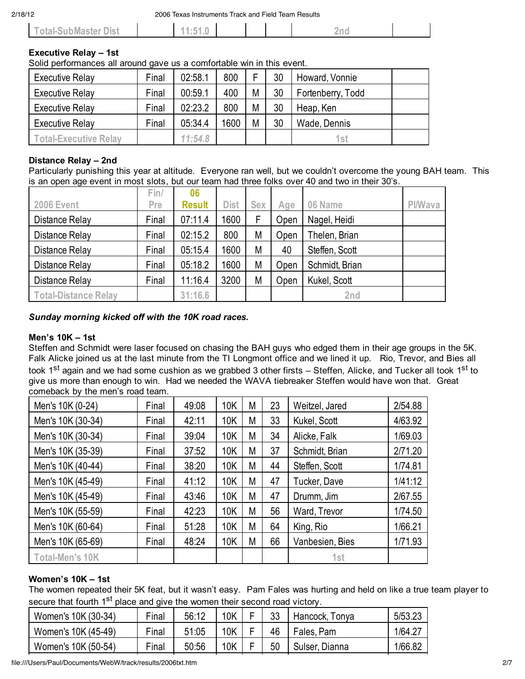| Total-SubMaster Dist | E 4<br>. J<br>$\cdots$ |  | 'nı |  |
|----------------------|------------------------|--|-----|--|
|                      |                        |  |     |  |

# **Executive Relay – 1st**

Solid performances all around gave us a comfortable win in this event.

| Executive Relay              | Final | 02:58.1 | 800  | F | 30 | Howard, Vonnie    |  |
|------------------------------|-------|---------|------|---|----|-------------------|--|
| Executive Relay              | Final | 00:59.1 | 400  | M | 30 | Fortenberry, Todd |  |
| Executive Relay              | Final | 02:23.2 | 800  | M | 30 | Heap, Ken         |  |
| Executive Relay              | Final | 05:34.4 | 1600 | M | 30 | Wade, Dennis      |  |
| <b>Total-Executive Relay</b> |       | 11:54.8 |      |   |    | 1st               |  |

### **Distance Relay – 2nd**

Particularly punishing this year at altitude. Everyone ran well, but we couldn't overcome the young BAH team. This is an open age event in most slots, but our team had three folks over 40 and two in their 30's.

|                             | Fin/  | 06            |             |            |      |                |         |
|-----------------------------|-------|---------------|-------------|------------|------|----------------|---------|
| <b>2006 Event</b>           | Pre   | <b>Result</b> | <b>Dist</b> | <b>Sex</b> | Age  | 06 Name        | Pl/Wava |
| Distance Relay              | Final | 07:11.4       | 1600        | F          | Open | Nagel, Heidi   |         |
| Distance Relay              | Final | 02:15.2       | 800         | M          | Open | Thelen, Brian  |         |
| Distance Relay              | Final | 05:15.4       | 1600        | M          | 40   | Steffen, Scott |         |
| Distance Relay              | Final | 05:18.2       | 1600        | M          | Open | Schmidt, Brian |         |
| Distance Relay              | Final | 11:16.4       | 3200        | M          | Open | Kukel, Scott   |         |
| <b>Total-Distance Relay</b> |       | 31:16.6       |             |            |      | 2nd            |         |

## *Sunday morning kicked off with the 10K road races.*

### **Men's 10K – 1st**

Steffen and Schmidt were laser focused on chasing the BAH guys who edged them in their age groups in the 5K. Falk Alicke joined us at the last minute from the TI Longmont office and we lined it up. Rio, Trevor, and Bies all took 1<sup>st</sup> again and we had some cushion as we grabbed 3 other firsts – Steffen, Alicke, and Tucker all took 1<sup>st</sup> to give us more than enough to win. Had we needed the WAVA tiebreaker Steffen would have won that. Great comeback by the men's road team.

| Men's 10K (0-24)       | Final | 49:08 | 10K        | М | 23 | Weitzel, Jared  | 2/54.88 |
|------------------------|-------|-------|------------|---|----|-----------------|---------|
| Men's 10K (30-34)      | Final | 42:11 | 10K        | М | 33 | Kukel, Scott    | 4/63.92 |
| Men's 10K (30-34)      | Final | 39:04 | 10K        | М | 34 | Alicke, Falk    | 1/69.03 |
| Men's 10K (35-39)      | Final | 37:52 | <b>10K</b> | М | 37 | Schmidt, Brian  | 2/71.20 |
| Men's 10K (40-44)      | Final | 38:20 | 10K        | М | 44 | Steffen, Scott  | 1/74.81 |
| Men's 10K (45-49)      | Final | 41:12 | 10K        | М | 47 | Tucker, Dave    | 1/41:12 |
| Men's 10K (45-49)      | Final | 43:46 | 10K        | М | 47 | Drumm, Jim      | 2/67.55 |
| Men's 10K (55-59)      | Final | 42:23 | 10K        | М | 56 | Ward, Trevor    | 1/74.50 |
| Men's 10K (60-64)      | Final | 51:28 | 10K        | М | 64 | King, Rio       | 1/66.21 |
| Men's 10K (65-69)      | Final | 48:24 | <b>10K</b> | М | 66 | Vanbesien, Bies | 1/71.93 |
| <b>Total-Men's 10K</b> |       |       |            |   |    | 1st             |         |

### **Women's 10K – 1st**

The women repeated their 5K feat, but it wasn't easy. Pam Fales was hurting and held on like a true team player to secure that fourth 1<sup>st</sup> place and give the women their second road victory.

| Women's 10K (30-34) | Final | 56:12 | 10K | າາ<br>JJ | Hancock, Tonya | 5/53.23 |
|---------------------|-------|-------|-----|----------|----------------|---------|
| Women's 10K (45-49) | Final | 51:05 | 10K | 46       | Fales, Pam     | 1/64.27 |
| Women's 10K (50-54) | Final | 50:56 | 10K | 50       | Sulser, Dianna | 1/66.82 |

file:///Users/Paul/Documents/WebW/track/results/2006txt.htm 2/7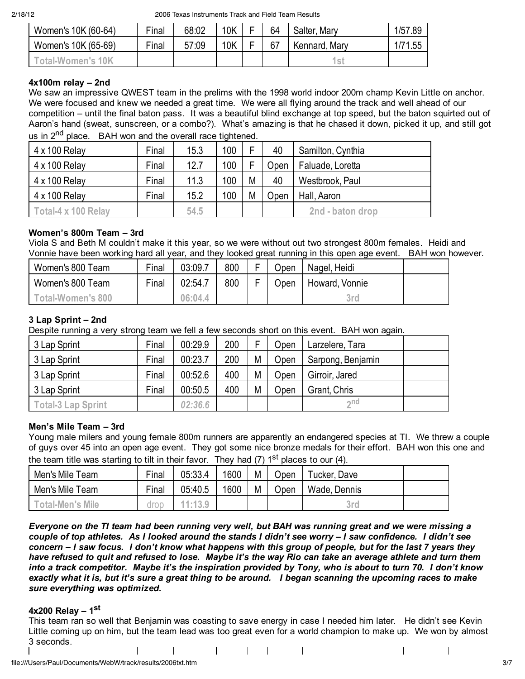2/18/12 2006 Texas Instruments Track and Field Team Results

| Women's 10K (60-64) | Final | 68:02 | 10K | - | 64 | Salter, Mary  | 1/57.89 |
|---------------------|-------|-------|-----|---|----|---------------|---------|
| Women's 10K (65-69) | Final | 57:09 | 10K | - | 67 | Kennard, Mary | 171.55  |
| ˈotal-Women's 10K   |       |       |     |   |    | 1st           |         |

### **4x100m relay – 2nd**

We saw an impressive QWEST team in the prelims with the 1998 world indoor 200m champ Kevin Little on anchor. We were focused and knew we needed a great time. We were all flying around the track and well ahead of our competition – until the final baton pass. It was a beautiful blind exchange at top speed, but the baton squirted out of Aaron's hand (sweat, sunscreen, or a combo?). What's amazing is that he chased it down, picked it up, and still got

us in  $2^{nd}$  place. BAH won and the overall race tightened.

| 4 x 100 Relay        | Final | 15.3 | 100 |   | 40   | Samilton, Cynthia |
|----------------------|-------|------|-----|---|------|-------------------|
| 4 x 100 Relay        | Final | 12.7 | 100 |   | Open | Faluade, Loretta  |
| 4 x 100 Relay        | Final | 11.3 | 100 | М | 40   | Westbrook, Paul   |
| $4 \times 100$ Relay | Final | 15.2 | 100 | М | Open | Hall, Aaron       |
| Total-4 x 100 Relay  |       | 54.5 |     |   |      | 2nd - baton drop  |

## **Women's 800m Team – 3rd**

Viola S and Beth M couldn't make it this year, so we were without out two strongest 800m females. Heidi and Vonnie have been working hard all year, and they looked great running in this open age event. BAH won however.

| Women's 800 Team              | Final | 03:09.7 | 800 |   | Open | Nagel, Heidi   |  |
|-------------------------------|-------|---------|-----|---|------|----------------|--|
| Women's 800 Team              | Final | 02:54.7 | 800 | - | ∪pen | Howard, Vonnie |  |
| <sup>r</sup> otal-Women's 800 |       | 06:04.4 |     |   |      | 3rd            |  |

## **3 Lap Sprint – 2nd**

Despite running a very strong team we fell a few seconds short on this event. BAH won again.

| 3 Lap Sprint              | Final | 00:29.9 | 200 |   | <b>Jpen</b> | Larzelere, Tara   |  |
|---------------------------|-------|---------|-----|---|-------------|-------------------|--|
| 3 Lap Sprint              | Final | 00:23.7 | 200 | M | Open        | Sarpong, Benjamin |  |
| 3 Lap Sprint              | Final | 00:52.6 | 400 | M | Open        | Girroir, Jared    |  |
| 3 Lap Sprint              | Final | 00:50.5 | 400 | M | Open        | Grant, Chris      |  |
| <b>Total-3 Lap Sprint</b> |       | 02:36.6 |     |   |             | $\sim$ nd         |  |

### **Men's Mile Team – 3rd**

Young male milers and young female 800m runners are apparently an endangered species at TI. We threw a couple of guys over 45 into an open age event. They got some nice bronze medals for their effort. BAH won this one and the team title was starting to tilt in their favor. They had (7)  $1<sup>st</sup>$  places to our (4).

| Men's Mile Team         | Final | 05:33.4 | 1600 | M | Open | $\tau$ ucker, Dave |  |
|-------------------------|-------|---------|------|---|------|--------------------|--|
| Men's Mile Team         | Final | 05:40.5 | 1600 | M | Open | Wade, Dennis       |  |
| <b>Total-Men's Mile</b> | droc  | 11:13.9 |      |   |      | 3rd                |  |

*Everyone on the TI team had been running very well, but BAH was running great and we were missing a couple of top athletes. As I looked around the stands I didn't see worry – I saw confidence. I didn't see concern – I saw focus. I don't know what happens with this group of people, but for the last 7 years they have refused to quit and refused to lose. Maybe it's the way Rio can take an average athlete and turn them into a track competitor. Maybe it's the inspiration provided by Tony, who is about to turn 70. I don't know exactly what it is, but it's sure a great thing to be around. I began scanning the upcoming races to make sure everything was optimized.*

### **4x200 Relay – 1st**

This team ran so well that Benjamin was coasting to save energy in case I needed him later. He didn't see Kevin Little coming up on him, but the team lead was too great even for a world champion to make up. We won by almost 3 seconds.

 $\sim$  1  $\mathbf{I}$ 

 $\mathbf{I}$ 

 $\mathbf{I}$ 

file:///Users/Paul/Documents/WebW/track/results/2006txt.htm 3/7

 $\mathbf{I}$ 

 $\mathbf{I}$ 

 $\mathbf{I}$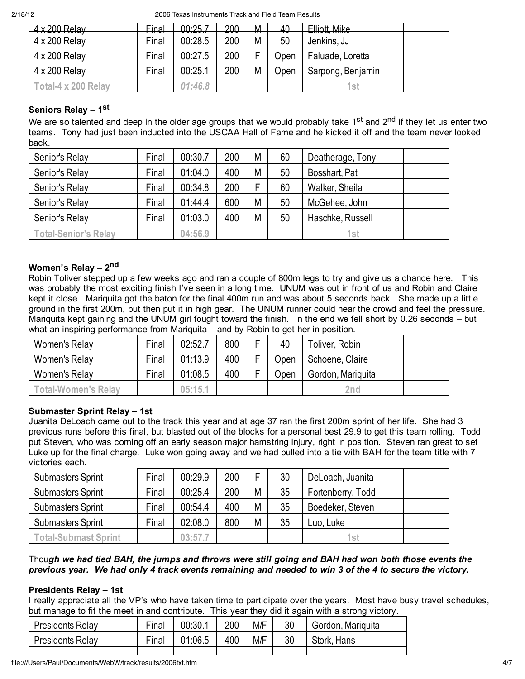2/18/12 2006 Texas Instruments Track and Field Team Results

| $4 \times 200$ Relay | Final | በበ∙25 7 | 200 | M | 40   | Flliott Mike      |
|----------------------|-------|---------|-----|---|------|-------------------|
| $4 \times 200$ Relay | Final | 00:28.5 | 200 | M | 50   | Jenkins, JJ       |
| 4 x 200 Relay        | Final | 00:27.5 | 200 |   | Jpen | Faluade, Loretta  |
| 4 x 200 Relay        | Final | 00:25.1 | 200 | M | Open | Sarpong, Benjamin |
| Total-4 x 200 Relav  |       | 01:46.8 |     |   |      | 1st               |

# **Seniors Relay – 1st**

We are so talented and deep in the older age groups that we would probably take 1<sup>st</sup> and 2<sup>nd</sup> if they let us enter two teams. Tony had just been inducted into the USCAA Hall of Fame and he kicked it off and the team never looked back.

| Senior's Relay              | Final | 00:30.7 | 200 | M | 60 | Deatherage, Tony |
|-----------------------------|-------|---------|-----|---|----|------------------|
| Senior's Relay              | Final | 01:04.0 | 400 | M | 50 | Bosshart, Pat    |
| Senior's Relay              | Final | 00:34.8 | 200 |   | 60 | Walker, Sheila   |
| Senior's Relay              | Final | 01:44.4 | 600 | M | 50 | McGehee, John    |
| Senior's Relay              | Final | 01:03.0 | 400 | M | 50 | Haschke, Russell |
| <b>Total-Senior's Relay</b> |       | 04:56.9 |     |   |    | 1st              |

# **Women's Relay – 2nd**

Robin Toliver stepped up a few weeks ago and ran a couple of 800m legs to try and give us a chance here. This was probably the most exciting finish I've seen in a long time. UNUM was out in front of us and Robin and Claire kept it close. Mariquita got the baton for the final 400m run and was about 5 seconds back. She made up a little ground in the first 200m, but then put it in high gear. The UNUM runner could hear the crowd and feel the pressure. Mariquita kept gaining and the UNUM girl fought toward the finish. In the end we fell short by 0.26 seconds – but what an inspiring performance from Mariquita – and by Robin to get her in position.

| Women's Relay              | Final | 02:52.7 | 800 | 40   | Toliver, Robin    |  |
|----------------------------|-------|---------|-----|------|-------------------|--|
| Women's Relay              | Final | 01:13.9 | 400 | Jpen | Schoene, Claire   |  |
| Women's Relay              | Final | 01:08.5 | 400 | Jpen | Gordon, Mariguita |  |
| <b>Total-Women's Relav</b> |       | 05:15.1 |     |      | 2nd               |  |

# **Submaster Sprint Relay – 1st**

Juanita DeLoach came out to the track this year and at age 37 ran the first 200m sprint of her life. She had 3 previous runs before this final, but blasted out of the blocks for a personal best 29.9 to get this team rolling. Todd put Steven, who was coming off an early season major hamstring injury, right in position. Steven ran great to set Luke up for the final charge. Luke won going away and we had pulled into a tie with BAH for the team title with 7 victories each.

| <b>Submasters Sprint</b>    | Final | 00:29.9 | 200 |   | 30 | DeLoach, Juanita  |  |
|-----------------------------|-------|---------|-----|---|----|-------------------|--|
| <b>Submasters Sprint</b>    | Final | 00:25.4 | 200 | M | 35 | Fortenberry, Todd |  |
| <b>Submasters Sprint</b>    | Final | 00:54.4 | 400 | M | 35 | Boedeker, Steven  |  |
| <b>Submasters Sprint</b>    | Final | 02:08.0 | 800 | M | 35 | Luo, Luke         |  |
| <b>Total-Submast Sprint</b> |       | 03:57.7 |     |   |    | 1st               |  |

# Thou*gh we had tied BAH, the jumps and throws were still going and BAH had won both those events the previous year. We had only 4 track events remaining and needed to win 3 of the 4 to secure the victory.*

# **Presidents Relay – 1st**

I really appreciate all the VP's who have taken time to participate over the years. Most have busy travel schedules, but manage to fit the meet in and contribute. This year they did it again with a strong victory.

| Presidents Relay        | Final | 00:30.1 | 200 | M/F | 30 | Gordon, Mariguita |
|-------------------------|-------|---------|-----|-----|----|-------------------|
| <b>Presidents Relay</b> | Final | 01:06.5 | 400 | M/F | 30 | Stork, Hans       |
|                         |       |         |     |     |    |                   |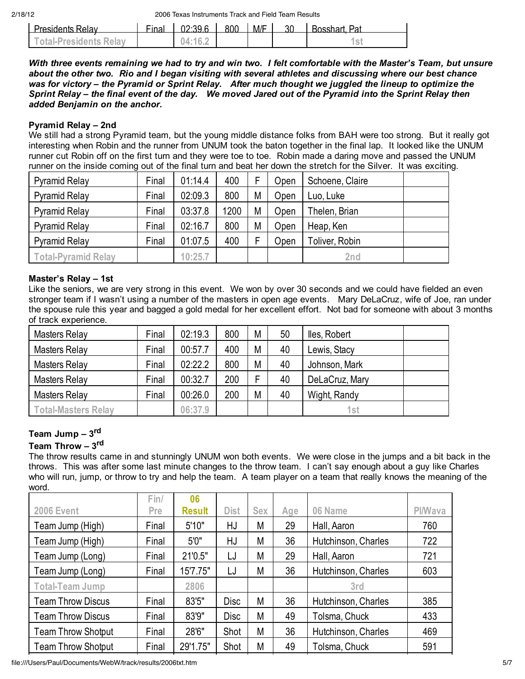| <b>Presidents Relay</b>       | Final | 02.396          | <b>ROO</b> | M/F | <b>Rosshart Pat</b> |
|-------------------------------|-------|-----------------|------------|-----|---------------------|
| <b>Total-Presidents Relay</b> |       | $-04:16.^\circ$ |            |     |                     |

*With three events remaining we had to try and win two. I felt comfortable with the Master's Team, but unsure about the other two. Rio and I began visiting with several athletes and discussing where our best chance was for victory – the Pyramid or Sprint Relay. After much thought we juggled the lineup to optimize the Sprint Relay – the final event of the day. We moved Jared out of the Pyramid into the Sprint Relay then added Benjamin on the anchor.*

### **Pyramid Relay – 2nd**

We still had a strong Pyramid team, but the young middle distance folks from BAH were too strong. But it really got interesting when Robin and the runner from UNUM took the baton together in the final lap. It looked like the UNUM runner cut Robin off on the first turn and they were toe to toe. Robin made a daring move and passed the UNUM runner on the inside coming out of the final turn and beat her down the stretch for the Silver. It was exciting.

| <b>Pyramid Relay</b>       | Final | 01:14.4 | 400  |   | Open        | Schoene, Claire |  |
|----------------------------|-------|---------|------|---|-------------|-----------------|--|
| <b>Pyramid Relay</b>       | Final | 02:09.3 | 800  | M | <b>Open</b> | Luo, Luke       |  |
| <b>Pyramid Relay</b>       | Final | 03:37.8 | 1200 | M | <b>Open</b> | Thelen, Brian   |  |
| <b>Pyramid Relay</b>       | Final | 02:16.7 | 800  | M | Open        | Heap, Ken       |  |
| <b>Pyramid Relay</b>       | Final | 01:07.5 | 400  |   | Jpen        | Toliver, Robin  |  |
| <b>Total-Pyramid Relay</b> |       | 10:25.7 |      |   |             | 2nd             |  |

## **Master's Relay – 1st**

Like the seniors, we are very strong in this event. We won by over 30 seconds and we could have fielded an even stronger team if I wasn't using a number of the masters in open age events. Mary DeLaCruz, wife of Joe, ran under the spouse rule this year and bagged a gold medal for her excellent effort. Not bad for someone with about 3 months of track experience.

| <b>Masters Relay</b>       | Final | 02:19.3 | 800 | M | 50 | lles, Robert   |  |
|----------------------------|-------|---------|-----|---|----|----------------|--|
| <b>Masters Relay</b>       | Final | 00:57.7 | 400 | M | 40 | Lewis, Stacy   |  |
| <b>Masters Relay</b>       | Final | 02:22.2 | 800 | M | 40 | Johnson, Mark  |  |
| <b>Masters Relay</b>       | Final | 00:32.7 | 200 |   | 40 | DeLaCruz, Mary |  |
| <b>Masters Relay</b>       | Final | 00:26.0 | 200 | M | 40 | Wight, Randy   |  |
| <b>Total-Masters Relav</b> |       | 06:37.9 |     |   |    | 1st            |  |

# **Team Jump – 3rd**

# **Team Throw – 3rd**

The throw results came in and stunningly UNUM won both events. We were close in the jumps and a bit back in the throws. This was after some last minute changes to the throw team. I can't say enough about a guy like Charles who will run, jump, or throw to try and help the team. A team player on a team that really knows the meaning of the word.

|                           | Fin/  | 06            |             |            |     |                     |                |
|---------------------------|-------|---------------|-------------|------------|-----|---------------------|----------------|
| <b>2006 Event</b>         | Pre   | <b>Result</b> | <b>Dist</b> | <b>Sex</b> | Age | 06 Name             | <b>PI/Wava</b> |
| Team Jump (High)          | Final | 5'10"         | HJ          | М          | 29  | Hall, Aaron         | 760            |
| Team Jump (High)          | Final | 5'0''         | HJ          | М          | 36  | Hutchinson, Charles | 722            |
| Team Jump (Long)          | Final | 21'0.5"       | LJ          | M          | 29  | Hall, Aaron         | 721            |
| Team Jump (Long)          | Final | 15'7.75"      | LJ          | М          | 36  | Hutchinson, Charles | 603            |
| <b>Total-Team Jump</b>    |       | 2806          |             |            |     | 3rd                 |                |
| <b>Team Throw Discus</b>  | Final | 83'5"         | Disc        | М          | 36  | Hutchinson, Charles | 385            |
| <b>Team Throw Discus</b>  | Final | 83'9"         | <b>Disc</b> | M          | 49  | Tolsma, Chuck       | 433            |
| <b>Team Throw Shotput</b> | Final | 28'6"         | Shot        | M          | 36  | Hutchinson, Charles | 469            |
| <b>Team Throw Shotput</b> | Final | 29'1.75"      | Shot        | M          | 49  | Tolsma, Chuck       | 591            |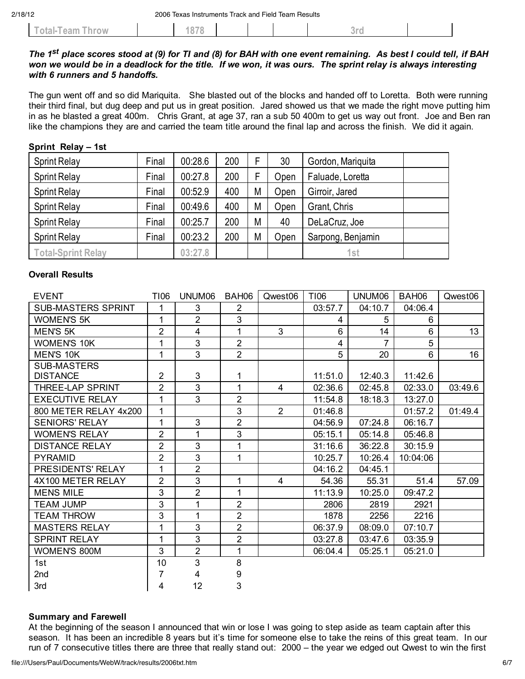|  | hrow<br>.al-T<br>'eam. |  | $\sim -1$ |  |  |  | $\sim$ |  |  |
|--|------------------------|--|-----------|--|--|--|--------|--|--|
|--|------------------------|--|-----------|--|--|--|--------|--|--|

### *The 1st place scores stood at (9) for TI and (8) for BAH with one event remaining. As best I could tell, if BAH won we would be in a deadlock for the title. If we won, it was ours. The sprint relay is always interesting with 6 runners and 5 handoffs.*

The gun went off and so did Mariquita. She blasted out of the blocks and handed off to Loretta. Both were running their third final, but dug deep and put us in great position. Jared showed us that we made the right move putting him in as he blasted a great 400m. Chris Grant, at age 37, ran a sub 50 400m to get us way out front. Joe and Ben ran like the champions they are and carried the team title around the final lap and across the finish. We did it again.

| $Q$ $P$ $I$ $II$ $II$ , $I$ $Q$ $I$ $Q$ $I$ $I$ $I$ |       |         |     |   |      |                   |
|-----------------------------------------------------|-------|---------|-----|---|------|-------------------|
| <b>Sprint Relay</b>                                 | Final | 00:28.6 | 200 | F | 30   | Gordon, Mariquita |
| <b>Sprint Relay</b>                                 | Final | 00:27.8 | 200 | F | Open | Faluade, Loretta  |
| <b>Sprint Relay</b>                                 | Final | 00:52.9 | 400 | M | Open | Girroir, Jared    |
| <b>Sprint Relay</b>                                 | Final | 00:49.6 | 400 | M | Open | Grant, Chris      |
| <b>Sprint Relay</b>                                 | Final | 00:25.7 | 200 | M | 40   | DeLaCruz, Joe     |
| <b>Sprint Relay</b>                                 | Final | 00:23.2 | 200 | M | Open | Sarpong, Benjamin |
| Total-Sprint Relay                                  |       | 03:27.8 |     |   |      | 1st               |

### **Overall Results**

**Sprint Relay – 1st**

| <b>EVENT</b>              | T106           | UNUM06         | BAH06          | Qwest06        | T106    | UNUM06         | BAH06    | Qwest06 |
|---------------------------|----------------|----------------|----------------|----------------|---------|----------------|----------|---------|
| <b>SUB-MASTERS SPRINT</b> | 1              | 3              | 2              |                | 03:57.7 | 04:10.7        | 04:06.4  |         |
| <b>WOMEN'S 5K</b>         | 1              | $\overline{2}$ | 3              |                | 4       | 5              | 6        |         |
| <b>MEN'S 5K</b>           | 2              | 4              | 1              | 3              | 6       | 14             | 6        | 13      |
| <b>WOMEN'S 10K</b>        | 1              | 3              | $\overline{2}$ |                | 4       | $\overline{7}$ | 5        |         |
| <b>MEN'S 10K</b>          | 1              | 3              | $\overline{2}$ |                | 5       | 20             | 6        | 16      |
| <b>SUB-MASTERS</b>        |                |                |                |                |         |                |          |         |
| <b>DISTANCE</b>           | $\overline{2}$ | 3              | 1              |                | 11:51.0 | 12:40.3        | 11:42.6  |         |
| THREE-LAP SPRINT          | $\overline{2}$ | 3              | 1              | 4              | 02:36.6 | 02:45.8        | 02:33.0  | 03:49.6 |
| <b>EXECUTIVE RELAY</b>    | 1              | 3              | $\overline{2}$ |                | 11:54.8 | 18:18.3        | 13:27.0  |         |
| 800 METER RELAY 4x200     | 1              |                | 3              | $\overline{2}$ | 01:46.8 |                | 01:57.2  | 01:49.4 |
| <b>SENIORS' RELAY</b>     | 1              | 3              | $\overline{2}$ |                | 04:56.9 | 07:24.8        | 06:16.7  |         |
| <b>WOMEN'S RELAY</b>      | $\overline{2}$ | 1              | 3              |                | 05:15.1 | 05:14.8        | 05:46.8  |         |
| <b>DISTANCE RELAY</b>     | 2              | 3              | 1              |                | 31:16.6 | 36:22.8        | 30:15.9  |         |
| <b>PYRAMID</b>            | $\overline{2}$ | 3              | 1              |                | 10:25.7 | 10:26.4        | 10:04:06 |         |
| PRESIDENTS' RELAY         | 1              | $\overline{2}$ |                |                | 04:16.2 | 04:45.1        |          |         |
| 4X100 METER RELAY         | $\overline{2}$ | 3              | 1              | 4              | 54.36   | 55.31          | 51.4     | 57.09   |
| <b>MENS MILE</b>          | 3              | $\overline{2}$ | 1              |                | 11:13.9 | 10:25.0        | 09:47.2  |         |
| <b>TEAM JUMP</b>          | 3              | 1              | $\overline{2}$ |                | 2806    | 2819           | 2921     |         |
| <b>TEAM THROW</b>         | 3              | 1              | $\overline{2}$ |                | 1878    | 2256           | 2216     |         |
| <b>MASTERS RELAY</b>      | 1              | 3              | $\overline{2}$ |                | 06:37.9 | 08:09.0        | 07:10.7  |         |
| <b>SPRINT RELAY</b>       | 1              | 3              | $\overline{c}$ |                | 03:27.8 | 03:47.6        | 03:35.9  |         |
| <b>WOMEN'S 800M</b>       | 3              | $\overline{2}$ | 1              |                | 06:04.4 | 05:25.1        | 05:21.0  |         |
| 1st                       | 10             | 3              | 8              |                |         |                |          |         |
| 2nd                       | 7              | 4              | 9              |                |         |                |          |         |
| 3rd                       | 4              | 12             | 3              |                |         |                |          |         |

#### **Summary and Farewell**

At the beginning of the season I announced that win or lose I was going to step aside as team captain after this season. It has been an incredible 8 years but it's time for someone else to take the reins of this great team. In our run of 7 consecutive titles there are three that really stand out: 2000 – the year we edged out Qwest to win the first